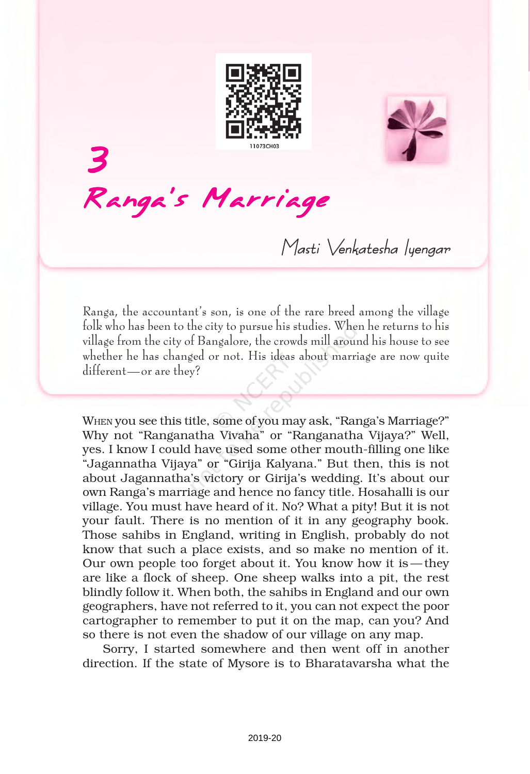



3 Ranga's Marriage

Masti Venkatesha luengar

Ranga, the accountant's son, is one of the rare breed among the village folk who has been to the city to pursue his studies. When he returns to his village from the city of Bangalore, the crowds mill around his house to see whether he has changed or not. His ideas about marriage are now quite different—or are they?

WHEN you see this title, some of you may ask, "Ranga's Marriage?" Why not "Ranganatha Vivaha" or "Ranganatha Vijaya?" Well, yes. I know I could have used some other mouth-filling one like "Jagannatha Vijaya" or "Girija Kalyana." But then, this is not about Jagannatha's victory or Girija's wedding. It's about our own Ranga's marriage and hence no fancy title. Hosahalli is our village. You must have heard of it. No? What a pity! But it is not your fault. There is no mention of it in any geography book. Those sahibs in England, writing in English, probably do not know that such a place exists, and so make no mention of it. Our own people too forget about it. You know how it is —they are like a flock of sheep. One sheep walks into a pit, the rest blindly follow it. When both, the sahibs in England and our own geographers, have not referred to it, you can not expect the poor cartographer to remember to put it on the map, can you? And so there is not even the shadow of our village on any map.

Sorry, I started somewhere and then went off in another direction. If the state of Mysore is to Bharatavarsha what the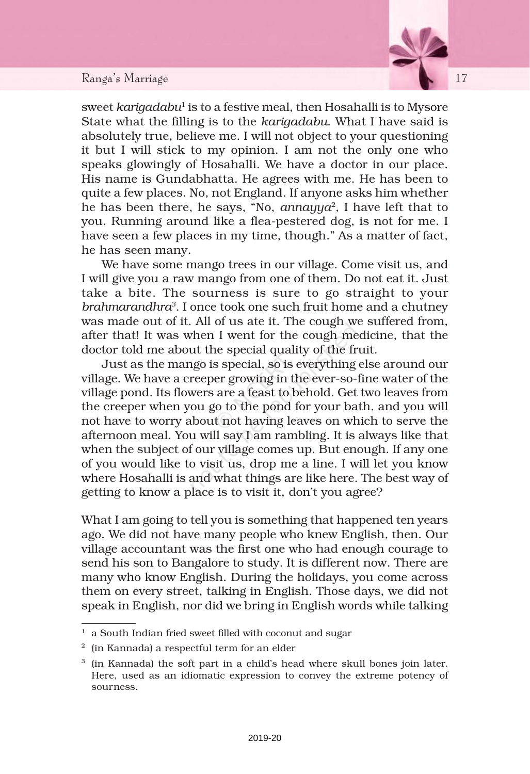## Ranga's Marriage 17 17



sweet *karigadabu*' is to a festive meal, then Hosahalli is to Mysore State what the filling is to the *karigadabu*. What I have said is absolutely true, believe me. I will not object to your questioning it but I will stick to my opinion. I am not the only one who speaks glowingly of Hosahalli. We have a doctor in our place. His name is Gundabhatta. He agrees with me. He has been to quite a few places. No, not England. If anyone asks him whether he has been there, he says, "No, *annayya*<sup>2</sup> , I have left that to you. Running around like a flea-pestered dog, is not for me. I have seen a few places in my time, though." As a matter of fact, he has seen many.

We have some mango trees in our village. Come visit us, and I will give you a raw mango from one of them. Do not eat it. Just take a bite. The sourness is sure to go straight to your *brahmarandhra<sup>3</sup>* . I once took one such fruit home and a chutney was made out of it. All of us ate it. The cough we suffered from, after that! It was when I went for the cough medicine, that the doctor told me about the special quality of the fruit.

Just as the mango is special, so is everything else around our village. We have a creeper growing in the ever-so-fine water of the village pond. Its flowers are a feast to behold. Get two leaves from the creeper when you go to the pond for your bath, and you will not have to worry about not having leaves on which to serve the afternoon meal. You will say I am rambling. It is always like that when the subject of our village comes up. But enough. If any one of you would like to visit us, drop me a line. I will let you know where Hosahalli is and what things are like here. The best way of getting to know a place is to visit it, don't you agree?

What I am going to tell you is something that happened ten years ago. We did not have many people who knew English, then. Our village accountant was the first one who had enough courage to send his son to Bangalore to study. It is different now. There are many who know English. During the holidays, you come across them on every street, talking in English. Those days, we did not speak in English, nor did we bring in English words while talking

 $1$  a South Indian fried sweet filled with coconut and sugar

 $2\;$  (in Kannada) a respectful term for an elder

<sup>3</sup> (in Kannada) the soft part in a child's head where skull bones join later. Here, used as an idiomatic expression to convey the extreme potency of sourness.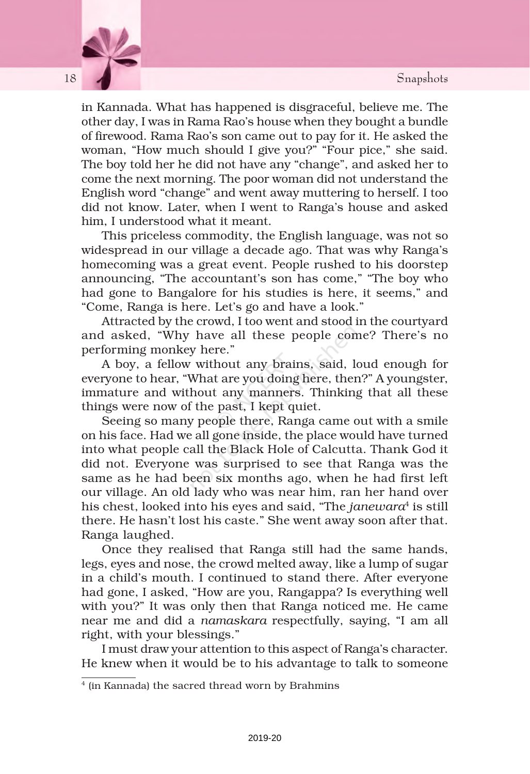

in Kannada. What has happened is disgraceful, believe me. The other day, I was in Rama Rao's house when they bought a bundle of firewood. Rama Rao's son came out to pay for it. He asked the woman, "How much should I give you?" "Four pice," she said. The boy told her he did not have any "change", and asked her to come the next morning. The poor woman did not understand the English word "change" and went away muttering to herself. I too did not know. Later, when I went to Ranga's house and asked him, I understood what it meant.

This priceless commodity, the English language, was not so widespread in our village a decade ago. That was why Ranga's homecoming was a great event. People rushed to his doorstep announcing, "The accountant's son has come," "The boy who had gone to Bangalore for his studies is here, it seems," and "Come, Ranga is here. Let's go and have a look."

Attracted by the crowd, I too went and stood in the courtyard and asked, "Why have all these people come? There's no performing monkey here."

A boy, a fellow without any brains, said, loud enough for everyone to hear, "What are you doing here, then?" A youngster, immature and without any manners. Thinking that all these things were now of the past, I kept quiet.

Seeing so many people there, Ranga came out with a smile on his face. Had we all gone inside, the place would have turned into what people call the Black Hole of Calcutta. Thank God it did not. Everyone was surprised to see that Ranga was the same as he had been six months ago, when he had first left our village. An old lady who was near him, ran her hand over his chest, looked into his eyes and said, "The *janewara*4 is still there. He hasn't lost his caste." She went away soon after that. Ranga laughed.

Once they realised that Ranga still had the same hands, legs, eyes and nose, the crowd melted away, like a lump of sugar in a child's mouth. I continued to stand there. After everyone had gone, I asked, "How are you, Rangappa? Is everything well with you?" It was only then that Ranga noticed me. He came near me and did a *namaskara* respectfully, saying, "I am all right, with your blessings."

I must draw your attention to this aspect of Ranga's character. He knew when it would be to his advantage to talk to someone

2019-20

<sup>4</sup> (in Kannada) the sacred thread worn by Brahmins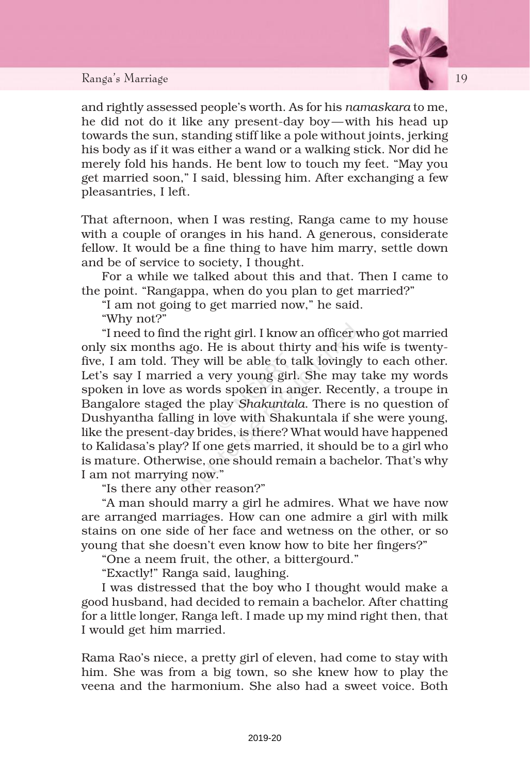## Ranga's Marriage 19 19



and rightly assessed people's worth. As for his *namaskara* to me, he did not do it like any present-day boy—with his head up towards the sun, standing stiff like a pole without joints, jerking his body as if it was either a wand or a walking stick. Nor did he merely fold his hands. He bent low to touch my feet. "May you get married soon," I said, blessing him. After exchanging a few pleasantries, I left.

That afternoon, when I was resting, Ranga came to my house with a couple of oranges in his hand. A generous, considerate fellow. It would be a fine thing to have him marry, settle down and be of service to society, I thought.

For a while we talked about this and that. Then I came to the point. "Rangappa, when do you plan to get married?"

"I am not going to get married now," he said.

"Why not?"

"I need to find the right girl. I know an officer who got married only six months ago. He is about thirty and his wife is twentyfive, I am told. They will be able to talk lovingly to each other. Let's say I married a very young girl. She may take my words spoken in love as words spoken in anger. Recently, a troupe in Bangalore staged the play *Shakuntala*. There is no question of Dushyantha falling in love with Shakuntala if she were young, like the present-day brides, is there? What would have happened to Kalidasa's play? If one gets married, it should be to a girl who is mature. Otherwise, one should remain a bachelor. That's why I am not marrying now."

"Is there any other reason?"

"A man should marry a girl he admires. What we have now are arranged marriages. How can one admire a girl with milk stains on one side of her face and wetness on the other, or so young that she doesn't even know how to bite her fingers?"

"One a neem fruit, the other, a bittergourd."

"Exactly!" Ranga said, laughing.

I was distressed that the boy who I thought would make a good husband, had decided to remain a bachelor. After chatting for a little longer, Ranga left. I made up my mind right then, that I would get him married.

Rama Rao's niece, a pretty girl of eleven, had come to stay with him. She was from a big town, so she knew how to play the veena and the harmonium. She also had a sweet voice. Both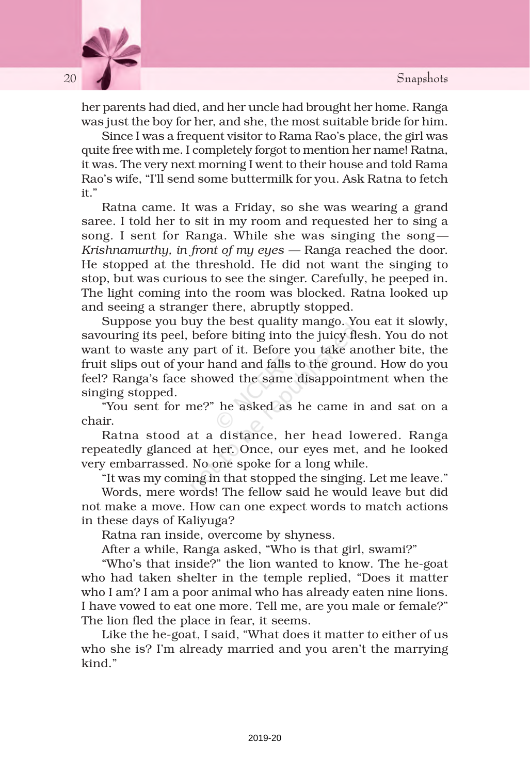

her parents had died, and her uncle had brought her home. Ranga was just the boy for her, and she, the most suitable bride for him.

Since I was a frequent visitor to Rama Rao's place, the girl was quite free with me. I completely forgot to mention her name! Ratna, it was. The very next morning I went to their house and told Rama Rao's wife, "I'll send some buttermilk for you. Ask Ratna to fetch it."

Ratna came. It was a Friday, so she was wearing a grand saree. I told her to sit in my room and requested her to sing a song. I sent for Ranga. While she was singing the song*— Krishnamurthy, in front of my eyes —* Ranga reached the door. He stopped at the threshold. He did not want the singing to stop, but was curious to see the singer. Carefully, he peeped in. The light coming into the room was blocked. Ratna looked up and seeing a stranger there, abruptly stopped.

Suppose you buy the best quality mango. You eat it slowly, savouring its peel, before biting into the juicy flesh. You do not want to waste any part of it. Before you take another bite, the fruit slips out of your hand and falls to the ground. How do you feel? Ranga's face showed the same disappointment when the singing stopped.

"You sent for me?" he asked as he came in and sat on a chair.

Ratna stood at a distance, her head lowered. Ranga repeatedly glanced at her. Once, our eyes met, and he looked very embarrassed. No one spoke for a long while.

"It was my coming in that stopped the singing. Let me leave." Words, mere words! The fellow said he would leave but did not make a move. How can one expect words to match actions in these days of Kaliyuga?

Ratna ran inside, overcome by shyness.

After a while, Ranga asked, "Who is that girl, swami?"

"Who's that inside?" the lion wanted to know. The he-goat who had taken shelter in the temple replied, "Does it matter who I am? I am a poor animal who has already eaten nine lions. I have vowed to eat one more. Tell me, are you male or female?" The lion fled the place in fear, it seems.

Like the he-goat, I said, "What does it matter to either of us who she is? I'm already married and you aren't the marrying kind."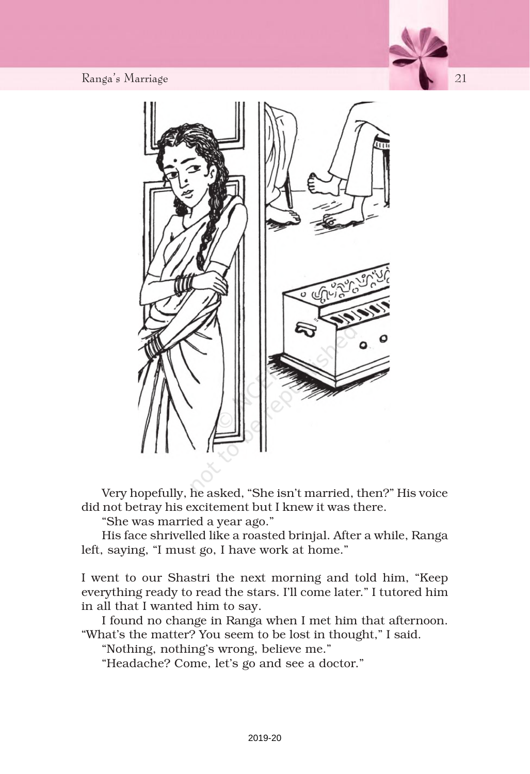Ranga's Marriage Ranga's Mar anga's Maranga's Marriage 21 21



Very hopefully, he asked, "She isn't married, then?" His voice did not betray his excitement but I knew it was there.

"She was married a year ago."

His face shrivelled like a roasted brinjal. After a while, Ranga left, saying, "I must go, I have work at home."

I went to our Shastri the next morning and told him, "Keep everything ready to read the stars. I'll come later." I tutored him in all that I wanted him to say.

I found no change in Ranga when I met him that afternoon. "What's the matter? You seem to be lost in thought," I said.

"Nothing, nothing's wrong, believe me."

"Headache? Come, let's go and see a doctor."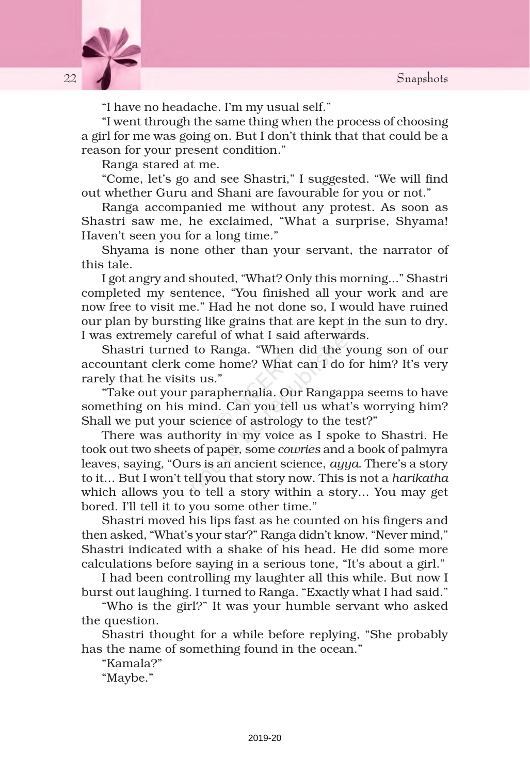

"I have no headache. I'm my usual self."

"I went through the same thing when the process of choosing a girl for me was going on. But I don't think that that could be a reason for your present condition."

Ranga stared at me.

"Come, let's go and see Shastri," I suggested. "We will find out whether Guru and Shani are favourable for you or not."

Ranga accompanied me without any protest. As soon as Shastri saw me, he exclaimed, "What a surprise, Shyama! Haven't seen you for a long time."

Shyama is none other than your servant, the narrator of this tale.

I got angry and shouted, "What? Only this morning..." Shastri completed my sentence, "You finished all your work and are now free to visit me." Had he not done so, I would have ruined our plan by bursting like grains that are kept in the sun to dry. I was extremely careful of what I said afterwards.

Shastri turned to Ranga. "When did the young son of our accountant clerk come home? What can I do for him? It's very rarely that he visits us."

"Take out your paraphernalia. Our Rangappa seems to have something on his mind. Can you tell us what's worrying him? Shall we put your science of astrology to the test?"

There was authority in my voice as I spoke to Shastri. He took out two sheets of paper, some *cowries* and a book of palmyra leaves, saying, "Ours is an ancient science, *ayya*. There's a story to it... But I won't tell you that story now. This is not a *harikatha* which allows you to tell a story within a story... You may get bored. I'll tell it to you some other time."

Shastri moved his lips fast as he counted on his fingers and then asked, "What's your star?" Ranga didn't know. "Never mind," Shastri indicated with a shake of his head. He did some more calculations before saying in a serious tone, "It's about a girl."

I had been controlling my laughter all this while. But now I burst out laughing. I turned to Ranga. "Exactly what I had said."

"Who is the girl?" It was your humble servant who asked the question.

Shastri thought for a while before replying, "She probably has the name of something found in the ocean."

"Kamala?"

"Maybe."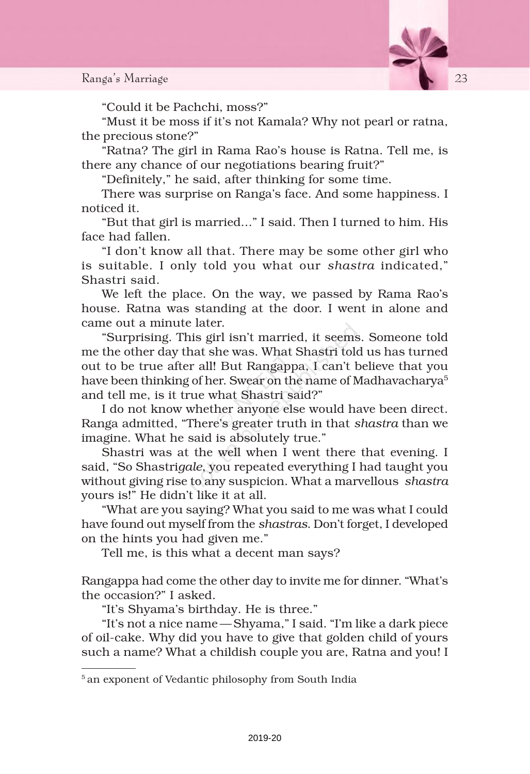

"Could it be Pachchi, moss?"

"Must it be moss if it's not Kamala? Why not pearl or ratna, the precious stone?"

"Ratna? The girl in Rama Rao's house is Ratna. Tell me, is there any chance of our negotiations bearing fruit?"

"Definitely," he said, after thinking for some time.

There was surprise on Ranga's face. And some happiness. I noticed it.

"But that girl is married..." I said. Then I turned to him. His face had fallen.

"I don't know all that. There may be some other girl who is suitable. I only told you what our *shastra* indicated," Shastri said.

We left the place. On the way, we passed by Rama Rao's house. Ratna was standing at the door. I went in alone and came out a minute later.

"Surprising. This girl isn't married, it seems. Someone told me the other day that she was. What Shastri told us has turned out to be true after all! But Rangappa, I can't believe that you have been thinking of her. Swear on the name of Madhavacharya<sup>5</sup> and tell me, is it true what Shastri said?"

I do not know whether anyone else would have been direct. Ranga admitted, "There's greater truth in that *shastra* than we imagine. What he said is absolutely true."

Shastri was at the well when I went there that evening. I said, "So Shastri*gale*, you repeated everything I had taught you without giving rise to any suspicion. What a marvellous *shastra* yours is!" He didn't like it at all.

"What are you saying? What you said to me was what I could have found out myself from the *shastras*. Don't forget, I developed on the hints you had given me."

Tell me, is this what a decent man says?

Rangappa had come the other day to invite me for dinner. "What's the occasion?" I asked.

"It's Shyama's birthday. He is three."

"It's not a nice name —Shyama," I said. "I'm like a dark piece of oil-cake. Why did you have to give that golden child of yours such a name? What a childish couple you are, Ratna and you! I

<sup>&</sup>lt;sup>5</sup> an exponent of Vedantic philosophy from South India